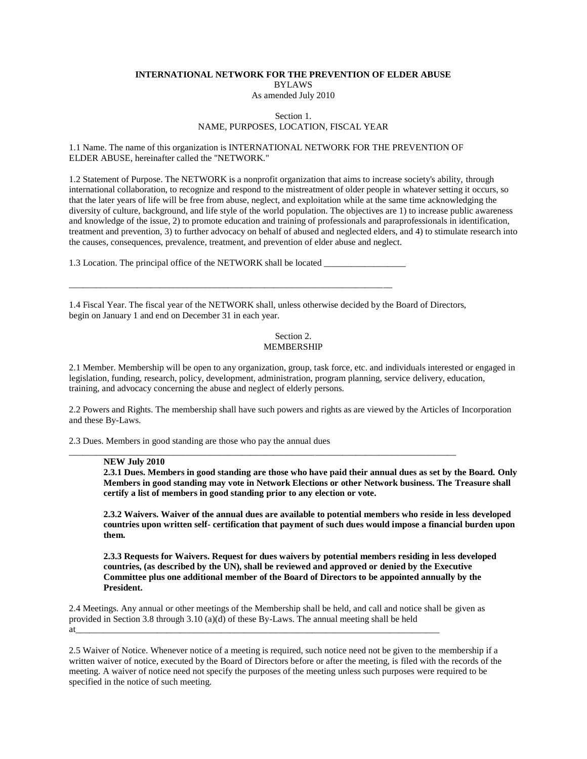# **INTERNATIONAL NETWORK FOR THE PREVENTION OF ELDER ABUSE** BYLAWS

As amended July 2010

# Section 1. NAME, PURPOSES, LOCATION, FISCAL YEAR

1.1 Name. The name of this organization is INTERNATIONAL NETWORK FOR THE PREVENTION OF ELDER ABUSE, hereinafter called the "NETWORK."

1.2 Statement of Purpose. The NETWORK is a nonprofit organization that aims to increase society's ability, through international collaboration, to recognize and respond to the mistreatment of older people in whatever setting it occurs, so that the later years of life will be free from abuse, neglect, and exploitation while at the same time acknowledging the diversity of culture, background, and life style of the world population. The objectives are 1) to increase public awareness and knowledge of the issue, 2) to promote education and training of professionals and paraprofessionals in identification, treatment and prevention, 3) to further advocacy on behalf of abused and neglected elders, and 4) to stimulate research into the causes, consequences, prevalence, treatment, and prevention of elder abuse and neglect.

1.3 Location. The principal office of the NETWORK shall be located

\_\_\_\_\_\_\_\_\_\_\_\_\_\_\_\_\_\_\_\_\_\_\_\_\_\_\_\_\_\_\_\_\_\_\_\_\_\_\_\_\_\_\_\_\_\_\_\_\_\_\_\_\_\_\_\_\_\_\_\_\_\_\_\_\_\_\_\_\_\_\_

1.4 Fiscal Year. The fiscal year of the NETWORK shall, unless otherwise decided by the Board of Directors, begin on January 1 and end on December 31 in each year.

\_\_\_\_\_\_\_\_\_\_\_\_\_\_\_\_\_\_\_\_\_\_\_\_\_\_\_\_\_\_\_\_\_\_\_\_\_\_\_\_\_\_\_\_\_\_\_\_\_\_\_\_\_\_\_\_\_\_\_\_\_\_\_\_\_\_\_\_\_\_\_\_\_\_\_\_\_\_\_\_\_\_\_\_\_

## Section 2. MEMBERSHIP

2.1 Member. Membership will be open to any organization, group, task force, etc. and individuals interested or engaged in legislation, funding, research, policy, development, administration, program planning, service delivery, education, training, and advocacy concerning the abuse and neglect of elderly persons.

2.2 Powers and Rights. The membership shall have such powers and rights as are viewed by the Articles of Incorporation and these By-Laws.

2.3 Dues. Members in good standing are those who pay the annual dues

#### **NEW July 2010**

**2.3.1 Dues. Members in good standing are those who have paid their annual dues as set by the Board. Only Members in good standing may vote in Network Elections or other Network business. The Treasure shall certify a list of members in good standing prior to any election or vote.**

**2.3.2 Waivers. Waiver of the annual dues are available to potential members who reside in less developed countries upon written self- certification that payment of such dues would impose a financial burden upon them.**

**2.3.3 Requests for Waivers. Request for dues waivers by potential members residing in less developed countries, (as described by the UN), shall be reviewed and approved or denied by the Executive Committee plus one additional member of the Board of Directors to be appointed annually by the President.**

2.4 Meetings. Any annual or other meetings of the Membership shall be held, and call and notice shall be given as provided in Section 3.8 through 3.10 (a)(d) of these By-Laws. The annual meeting shall be held at\_\_\_\_\_\_\_\_\_\_\_\_\_\_\_\_\_\_\_\_\_\_\_\_\_\_\_\_\_\_\_\_\_\_\_\_\_\_\_\_\_\_\_\_\_\_\_\_\_\_\_\_\_\_\_\_\_\_\_\_\_\_\_\_\_\_\_\_\_\_\_\_\_\_\_\_\_\_\_\_

2.5 Waiver of Notice. Whenever notice of a meeting is required, such notice need not be given to the membership if a written waiver of notice, executed by the Board of Directors before or after the meeting, is filed with the records of the meeting. A waiver of notice need not specify the purposes of the meeting unless such purposes were required to be specified in the notice of such meeting.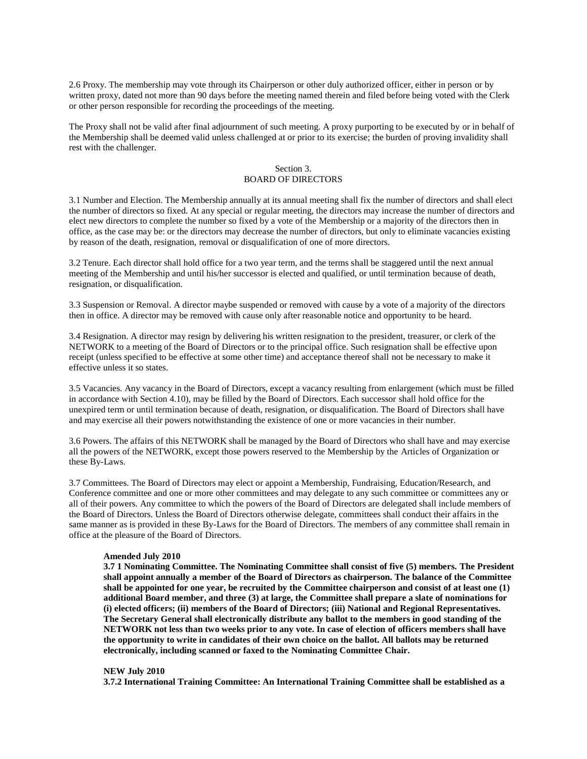2.6 Proxy. The membership may vote through its Chairperson or other duly authorized officer, either in person or by written proxy, dated not more than 90 days before the meeting named therein and filed before being voted with the Clerk or other person responsible for recording the proceedings of the meeting.

The Proxy shall not be valid after final adjournment of such meeting. A proxy purporting to be executed by or in behalf of the Membership shall be deemed valid unless challenged at or prior to its exercise; the burden of proving invalidity shall rest with the challenger.

#### Section 3. BOARD OF DIRECTORS

3.1 Number and Election. The Membership annually at its annual meeting shall fix the number of directors and shall elect the number of directors so fixed. At any special or regular meeting, the directors may increase the number of directors and elect new directors to complete the number so fixed by a vote of the Membership or a majority of the directors then in office, as the case may be: or the directors may decrease the number of directors, but only to eliminate vacancies existing by reason of the death, resignation, removal or disqualification of one of more directors.

3.2 Tenure. Each director shall hold office for a two year term, and the terms shall be staggered until the next annual meeting of the Membership and until his/her successor is elected and qualified, or until termination because of death, resignation, or disqualification.

3.3 Suspension or Removal. A director maybe suspended or removed with cause by a vote of a majority of the directors then in office. A director may be removed with cause only after reasonable notice and opportunity to be heard.

3.4 Resignation. A director may resign by delivering his written resignation to the president, treasurer, or clerk of the NETWORK to a meeting of the Board of Directors or to the principal office. Such resignation shall be effective upon receipt (unless specified to be effective at some other time) and acceptance thereof shall not be necessary to make it effective unless it so states.

3.5 Vacancies. Any vacancy in the Board of Directors, except a vacancy resulting from enlargement (which must be filled in accordance with Section 4.10), may be filled by the Board of Directors. Each successor shall hold office for the unexpired term or until termination because of death, resignation, or disqualification. The Board of Directors shall have and may exercise all their powers notwithstanding the existence of one or more vacancies in their number.

3.6 Powers. The affairs of this NETWORK shall be managed by the Board of Directors who shall have and may exercise all the powers of the NETWORK, except those powers reserved to the Membership by the Articles of Organization or these By-Laws.

3.7 Committees. The Board of Directors may elect or appoint a Membership, Fundraising, Education/Research, and Conference committee and one or more other committees and may delegate to any such committee or committees any or all of their powers. Any committee to which the powers of the Board of Directors are delegated shall include members of the Board of Directors. Unless the Board of Directors otherwise delegate, committees shall conduct their affairs in the same manner as is provided in these By-Laws for the Board of Directors. The members of any committee shall remain in office at the pleasure of the Board of Directors.

## **Amended July 2010**

**3.7 1 Nominating Committee. The Nominating Committee shall consist of five (5) members. The President shall appoint annually a member of the Board of Directors as chairperson. The balance of the Committee shall be appointed for one year, be recruited by the Committee chairperson and consist of at least one (1) additional Board member, and three (3) at large, the Committee shall prepare a slate of nominations for (i) elected officers; (ii) members of the Board of Directors; (iii) National and Regional Representatives. The Secretary General shall electronically distribute any ballot to the members in good standing of the NETWORK not less than two weeks prior to any vote. In case of election of officers members shall have the opportunity to write in candidates of their own choice on the ballot. All ballots may be returned electronically, including scanned or faxed to the Nominating Committee Chair.**

#### **NEW July 2010**

**3.7.2 International Training Committee: An International Training Committee shall be established as a**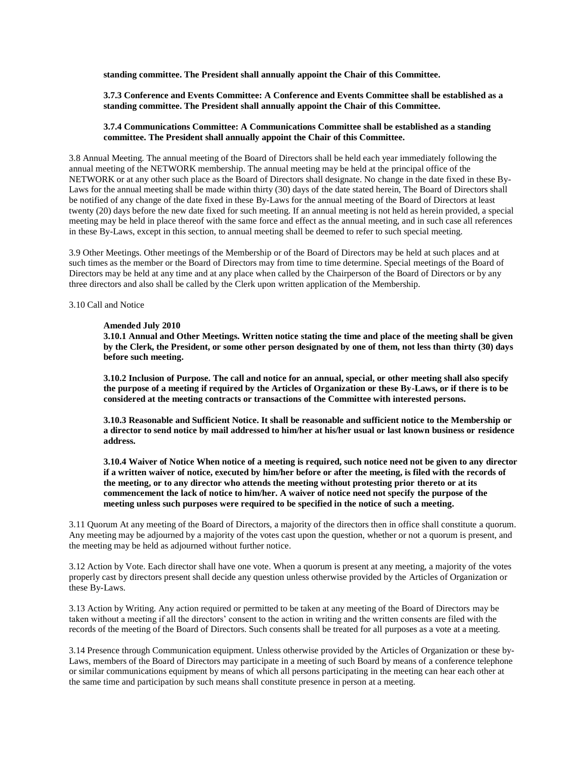**standing committee. The President shall annually appoint the Chair of this Committee.**

## **3.7.3 Conference and Events Committee: A Conference and Events Committee shall be established as a standing committee. The President shall annually appoint the Chair of this Committee.**

#### **3.7.4 Communications Committee: A Communications Committee shall be established as a standing committee. The President shall annually appoint the Chair of this Committee.**

3.8 Annual Meeting. The annual meeting of the Board of Directors shall be held each year immediately following the annual meeting of the NETWORK membership. The annual meeting may be held at the principal office of the NETWORK or at any other such place as the Board of Directors shall designate. No change in the date fixed in these By-Laws for the annual meeting shall be made within thirty (30) days of the date stated herein, The Board of Directors shall be notified of any change of the date fixed in these By-Laws for the annual meeting of the Board of Directors at least twenty (20) days before the new date fixed for such meeting. If an annual meeting is not held as herein provided, a special meeting may be held in place thereof with the same force and effect as the annual meeting, and in such case all references in these By-Laws, except in this section, to annual meeting shall be deemed to refer to such special meeting.

3.9 Other Meetings. Other meetings of the Membership or of the Board of Directors may be held at such places and at such times as the member or the Board of Directors may from time to time determine. Special meetings of the Board of Directors may be held at any time and at any place when called by the Chairperson of the Board of Directors or by any three directors and also shall be called by the Clerk upon written application of the Membership.

3.10 Call and Notice

#### **Amended July 2010**

**3.10.1 Annual and Other Meetings. Written notice stating the time and place of the meeting shall be given by the Clerk, the President, or some other person designated by one of them, not less than thirty (30) days before such meeting.**

**3.10.2 Inclusion of Purpose. The call and notice for an annual, special, or other meeting shall also specify the purpose of a meeting if required by the Articles of Organization or these By-Laws, or if there is to be considered at the meeting contracts or transactions of the Committee with interested persons.**

**3.10.3 Reasonable and Sufficient Notice. It shall be reasonable and sufficient notice to the Membership or a director to send notice by mail addressed to him/her at his/her usual or last known business or residence address.**

**3.10.4 Waiver of Notice When notice of a meeting is required, such notice need not be given to any director if a written waiver of notice, executed by him/her before or after the meeting, is filed with the records of the meeting, or to any director who attends the meeting without protesting prior thereto or at its commencement the lack of notice to him/her. A waiver of notice need not specify the purpose of the meeting unless such purposes were required to be specified in the notice of such a meeting.**

3.11 Quorum At any meeting of the Board of Directors, a majority of the directors then in office shall constitute a quorum. Any meeting may be adjourned by a majority of the votes cast upon the question, whether or not a quorum is present, and the meeting may be held as adjourned without further notice.

3.12 Action by Vote. Each director shall have one vote. When a quorum is present at any meeting, a majority of the votes properly cast by directors present shall decide any question unless otherwise provided by the Articles of Organization or these By-Laws.

3.13 Action by Writing. Any action required or permitted to be taken at any meeting of the Board of Directors may be taken without a meeting if all the directors' consent to the action in writing and the written consents are filed with the records of the meeting of the Board of Directors. Such consents shall be treated for all purposes as a vote at a meeting.

3.14 Presence through Communication equipment. Unless otherwise provided by the Articles of Organization or these by-Laws, members of the Board of Directors may participate in a meeting of such Board by means of a conference telephone or similar communications equipment by means of which all persons participating in the meeting can hear each other at the same time and participation by such means shall constitute presence in person at a meeting.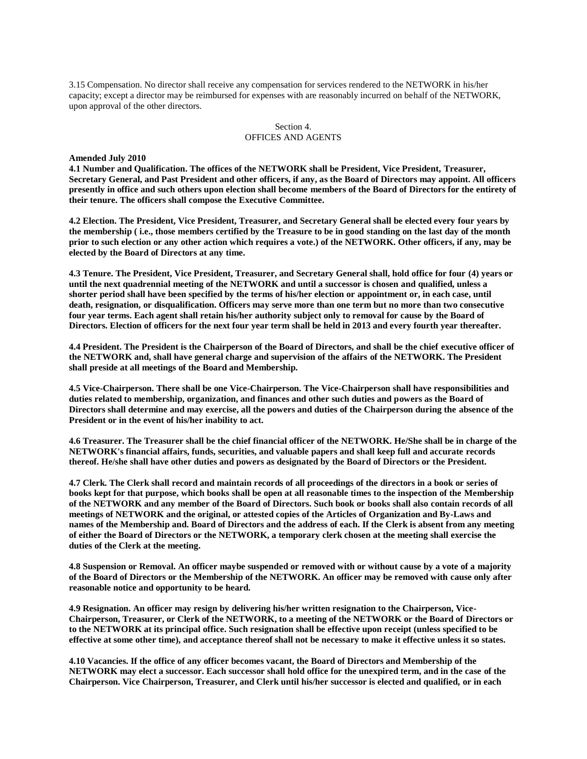3.15 Compensation. No director shall receive any compensation for services rendered to the NETWORK in his/her capacity; except a director may be reimbursed for expenses with are reasonably incurred on behalf of the NETWORK, upon approval of the other directors.

## Section 4. OFFICES AND AGENTS

**Amended July 2010**

**4.1 Number and Qualification. The offices of the NETWORK shall be President, Vice President, Treasurer, Secretary General, and Past President and other officers, if any, as the Board of Directors may appoint. All officers presently in office and such others upon election shall become members of the Board of Directors for the entirety of their tenure. The officers shall compose the Executive Committee.**

**4.2 Election. The President, Vice President, Treasurer, and Secretary General shall be elected every four years by the membership ( i.e., those members certified by the Treasure to be in good standing on the last day of the month prior to such election or any other action which requires a vote.) of the NETWORK. Other officers, if any, may be elected by the Board of Directors at any time.**

**4.3 Tenure. The President, Vice President, Treasurer, and Secretary General shall, hold office for four (4) years or until the next quadrennial meeting of the NETWORK and until a successor is chosen and qualified, unless a shorter period shall have been specified by the terms of his/her election or appointment or, in each case, until death, resignation, or disqualification. Officers may serve more than one term but no more than two consecutive four year terms. Each agent shall retain his/her authority subject only to removal for cause by the Board of Directors. Election of officers for the next four year term shall be held in 2013 and every fourth year thereafter.**

**4.4 President. The President is the Chairperson of the Board of Directors, and shall be the chief executive officer of the NETWORK and, shall have general charge and supervision of the affairs of the NETWORK. The President shall preside at all meetings of the Board and Membership.**

**4.5 Vice-Chairperson. There shall be one Vice-Chairperson. The Vice-Chairperson shall have responsibilities and duties related to membership, organization, and finances and other such duties and powers as the Board of Directors shall determine and may exercise, all the powers and duties of the Chairperson during the absence of the President or in the event of his/her inability to act.**

**4.6 Treasurer. The Treasurer shall be the chief financial officer of the NETWORK. He/She shall be in charge of the NETWORK's financial affairs, funds, securities, and valuable papers and shall keep full and accurate records thereof. He/she shall have other duties and powers as designated by the Board of Directors or the President.**

**4.7 Clerk. The Clerk shall record and maintain records of all proceedings of the directors in a book or series of books kept for that purpose, which books shall be open at all reasonable times to the inspection of the Membership of the NETWORK and any member of the Board of Directors. Such book or books shall also contain records of all meetings of NETWORK and the original, or attested copies of the Articles of Organization and By-Laws and names of the Membership and. Board of Directors and the address of each. If the Clerk is absent from any meeting of either the Board of Directors or the NETWORK, a temporary clerk chosen at the meeting shall exercise the duties of the Clerk at the meeting.**

**4.8 Suspension or Removal. An officer maybe suspended or removed with or without cause by a vote of a majority of the Board of Directors or the Membership of the NETWORK. An officer may be removed with cause only after reasonable notice and opportunity to be heard.**

**4.9 Resignation. An officer may resign by delivering his/her written resignation to the Chairperson, Vice-Chairperson, Treasurer, or Clerk of the NETWORK, to a meeting of the NETWORK or the Board of Directors or to the NETWORK at its principal office. Such resignation shall be effective upon receipt (unless specified to be effective at some other time), and acceptance thereof shall not be necessary to make it effective unless it so states.**

**4.10 Vacancies. If the office of any officer becomes vacant, the Board of Directors and Membership of the NETWORK may elect a successor. Each successor shall hold office for the unexpired term, and in the case of the Chairperson. Vice Chairperson, Treasurer, and Clerk until his/her successor is elected and qualified, or in each**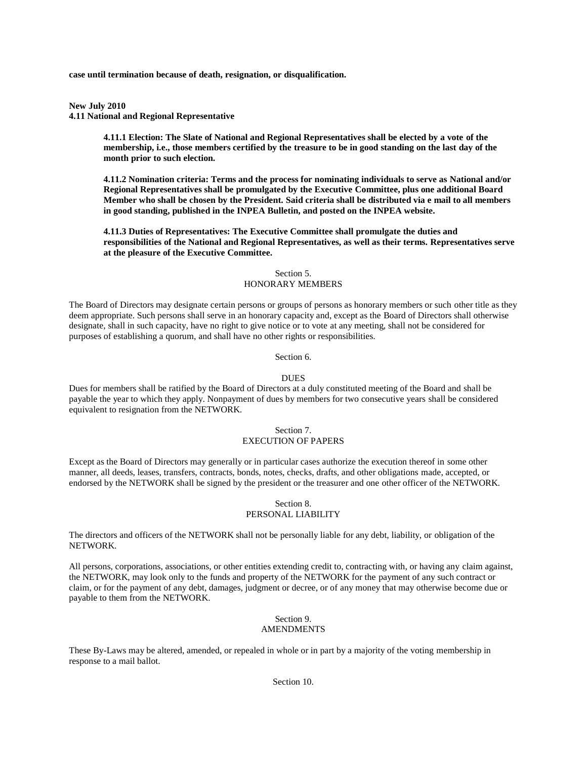**case until termination because of death, resignation, or disqualification.**

**New July 2010**

**4.11 National and Regional Representative**

**4.11.1 Election: The Slate of National and Regional Representatives shall be elected by a vote of the membership, i.e., those members certified by the treasure to be in good standing on the last day of the month prior to such election.**

**4.11.2 Nomination criteria: Terms and the process for nominating individuals to serve as National and/or Regional Representatives shall be promulgated by the Executive Committee, plus one additional Board Member who shall be chosen by the President. Said criteria shall be distributed via e mail to all members in good standing, published in the INPEA Bulletin, and posted on the INPEA website.**

**4.11.3 Duties of Representatives: The Executive Committee shall promulgate the duties and responsibilities of the National and Regional Representatives, as well as their terms. Representatives serve at the pleasure of the Executive Committee.**

## Section 5. HONORARY MEMBERS

The Board of Directors may designate certain persons or groups of persons as honorary members or such other title as they deem appropriate. Such persons shall serve in an honorary capacity and, except as the Board of Directors shall otherwise designate, shall in such capacity, have no right to give notice or to vote at any meeting, shall not be considered for purposes of establishing a quorum, and shall have no other rights or responsibilities.

Section 6.

#### **DUES**

Dues for members shall be ratified by the Board of Directors at a duly constituted meeting of the Board and shall be payable the year to which they apply. Nonpayment of dues by members for two consecutive years shall be considered equivalent to resignation from the NETWORK.

## Section 7. EXECUTION OF PAPERS

Except as the Board of Directors may generally or in particular cases authorize the execution thereof in some other manner, all deeds, leases, transfers, contracts, bonds, notes, checks, drafts, and other obligations made, accepted, or endorsed by the NETWORK shall be signed by the president or the treasurer and one other officer of the NETWORK.

## Section 8. PERSONAL LIABILITY

The directors and officers of the NETWORK shall not be personally liable for any debt, liability, or obligation of the NETWORK.

All persons, corporations, associations, or other entities extending credit to, contracting with, or having any claim against, the NETWORK, may look only to the funds and property of the NETWORK for the payment of any such contract or claim, or for the payment of any debt, damages, judgment or decree, or of any money that may otherwise become due or payable to them from the NETWORK.

#### Section 9. AMENDMENTS

These By-Laws may be altered, amended, or repealed in whole or in part by a majority of the voting membership in response to a mail ballot.